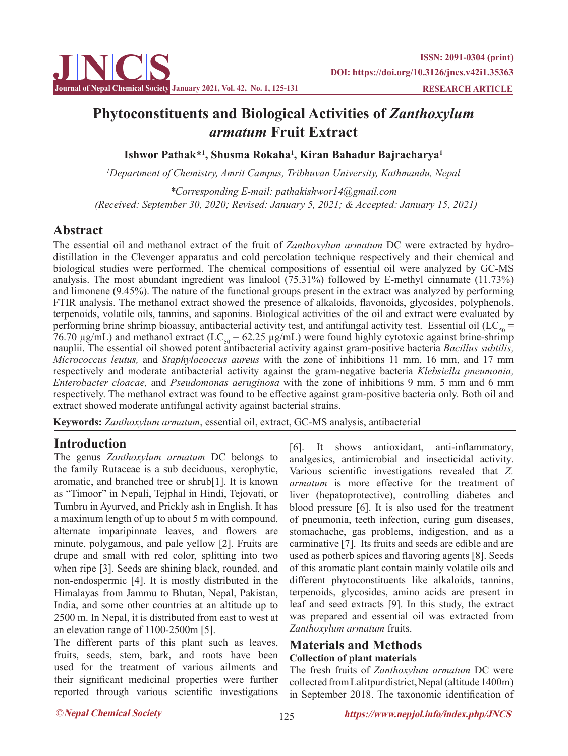

# **Phytoconstituents and Biological Activities of** *Zanthoxylum armatum* **Fruit Extract**

**Ishwor Pathak\*1 , Shusma Rokaha1 , Kiran Bahadur Bajracharya1**

*1 Department of Chemistry, Amrit Campus, Tribhuvan University, Kathmandu, Nepal*

*\*Corresponding E-mail: pathakishwor14@gmail.com (Received: September 30, 2020; Revised: January 5, 2021; & Accepted: January 15, 2021)*

## **Abstract**

The essential oil and methanol extract of the fruit of *Zanthoxylum armatum* DC were extracted by hydrodistillation in the Clevenger apparatus and cold percolation technique respectively and their chemical and biological studies were performed. The chemical compositions of essential oil were analyzed by GC-MS analysis. The most abundant ingredient was linalool (75.31%) followed by E-methyl cinnamate (11.73%) and limonene (9.45%). The nature of the functional groups present in the extract was analyzed by performing FTIR analysis. The methanol extract showed the presence of alkaloids, flavonoids, glycosides, polyphenols, terpenoids, volatile oils, tannins, and saponins. Biological activities of the oil and extract were evaluated by performing brine shrimp bioassay, antibacterial activity test, and antifungal activity test. Essential oil (LC<sub>50</sub> = 76.70  $\mu$ g/mL) and methanol extract (LC<sub>50</sub> = 62.25  $\mu$ g/mL) were found highly cytotoxic against brine-shrimp nauplii. The essential oil showed potent antibacterial activity against gram-positive bacteria *Bacillus subtilis, Micrococcus leutus,* and *Staphylococcus aureus* with the zone of inhibitions 11 mm, 16 mm, and 17 mm respectively and moderate antibacterial activity against the gram-negative bacteria *Klebsiella pneumonia, Enterobacter cloacae,* and *Pseudomonas aeruginosa* with the zone of inhibitions 9 mm, 5 mm and 6 mm respectively. The methanol extract was found to be effective against gram-positive bacteria only. Both oil and extract showed moderate antifungal activity against bacterial strains.

**Keywords:** *Zanthoxylum armatum*, essential oil, extract, GC-MS analysis, antibacterial

### **Introduction**

The genus *Zanthoxylum armatum* DC belongs to the family Rutaceae is a sub deciduous, xerophytic, aromatic, and branched tree or shrub[1]. It is known as "Timoor" in Nepali, Tejphal in Hindi, Tejovati, or Tumbru in Ayurved, and Prickly ash in English. It has a maximum length of up to about 5 m with compound, alternate imparipinnate leaves, and flowers are minute, polygamous, and pale yellow [2]. Fruits are drupe and small with red color, splitting into two when ripe [3]. Seeds are shining black, rounded, and non-endospermic [4]. It is mostly distributed in the Himalayas from Jammu to Bhutan, Nepal, Pakistan, India, and some other countries at an altitude up to 2500 m. In Nepal, it is distributed from east to west at an elevation range of 1100-2500m [5].

The different parts of this plant such as leaves, fruits, seeds, stem, bark, and roots have been used for the treatment of various ailments and their significant medicinal properties were further reported through various scientific investigations

[6]. It shows antioxidant, anti-inflammatory, analgesics, antimicrobial and insecticidal activity. Various scientific investigations revealed that *Z. armatum* is more effective for the treatment of liver (hepatoprotective), controlling diabetes and blood pressure [6]. It is also used for the treatment of pneumonia, teeth infection, curing gum diseases, stomachache, gas problems, indigestion, and as a carminative [7]. Its fruits and seeds are edible and are used as potherb spices and flavoring agents [8]. Seeds of this aromatic plant contain mainly volatile oils and different phytoconstituents like alkaloids, tannins, terpenoids, glycosides, amino acids are present in leaf and seed extracts [9]. In this study, the extract was prepared and essential oil was extracted from *Zanthoxylum armatum* fruits.

#### **Materials and Methods Collection of plant materials**

The fresh fruits of *Zanthoxylum armatum* DC were collected from Lalitpur district, Nepal (altitude 1400m) in September 2018. The taxonomic identification of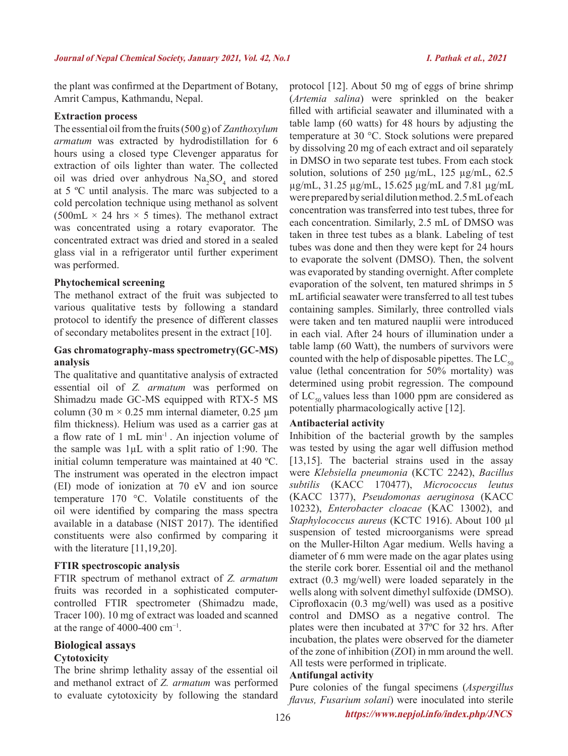the plant was confirmed at the Department of Botany, Amrit Campus, Kathmandu, Nepal.

#### **Extraction process**

The essential oil from the fruits (500 g) of *Zanthoxylum armatum* was extracted by hydrodistillation for 6 hours using a closed type Clevenger apparatus for extraction of oils lighter than water. The collected oil was dried over anhydrous  $Na<sub>2</sub>SO<sub>4</sub>$  and stored at 5 ºC until analysis. The marc was subjected to a cold percolation technique using methanol as solvent  $(500mL \times 24 \text{ hrs} \times 5 \text{ times})$ . The methanol extract was concentrated using a rotary evaporator. The concentrated extract was dried and stored in a sealed glass vial in a refrigerator until further experiment was performed.

#### **Phytochemical screening**

The methanol extract of the fruit was subjected to various qualitative tests by following a standard protocol to identify the presence of different classes of secondary metabolites present in the extract [10].

#### **Gas chromatography-mass spectrometry(GC-MS) analysis**

The qualitative and quantitative analysis of extracted essential oil of *Z. armatum* was performed on Shimadzu made GC-MS equipped with RTX-5 MS column (30 m  $\times$  0.25 mm internal diameter, 0.25 µm film thickness). Helium was used as a carrier gas at a flow rate of 1 mL min-1 . An injection volume of the sample was 1µL with a split ratio of 1:90. The initial column temperature was maintained at 40 ºC. The instrument was operated in the electron impact (EI) mode of ionization at 70 eV and ion source temperature 170 °C. Volatile constituents of the oil were identified by comparing the mass spectra available in a database (NIST 2017). The identified constituents were also confirmed by comparing it with the literature [11,19,20].

#### **FTIR spectroscopic analysis**

FTIR spectrum of methanol extract of *Z. armatum* fruits was recorded in a sophisticated computercontrolled FTIR spectrometer (Shimadzu made, Tracer 100). 10 mg of extract was loaded and scanned at the range of 4000-400  $cm^{-1}$ .

### **Biological assays**

#### **Cytotoxicity**

The brine shrimp lethality assay of the essential oil and methanol extract of *Z. armatum* was performed to evaluate cytotoxicity by following the standard protocol [12]. About 50 mg of eggs of brine shrimp (*Artemia salina*) were sprinkled on the beaker filled with artificial seawater and illuminated with a table lamp (60 watts) for 48 hours by adjusting the temperature at 30 °C. Stock solutions were prepared by dissolving 20 mg of each extract and oil separately in DMSO in two separate test tubes. From each stock solution, solutions of  $250 \mu g/mL$ ,  $125 \mu g/mL$ ,  $62.5$ µg/mL, 31.25 µg/mL, 15.625 µg/mL and 7.81 µg/mL were prepared by serial dilution method. 2.5 mL of each concentration was transferred into test tubes, three for each concentration. Similarly, 2.5 mL of DMSO was taken in three test tubes as a blank. Labeling of test tubes was done and then they were kept for 24 hours to evaporate the solvent (DMSO). Then, the solvent was evaporated by standing overnight. After complete evaporation of the solvent, ten matured shrimps in 5 mL artificial seawater were transferred to all test tubes containing samples. Similarly, three controlled vials were taken and ten matured nauplii were introduced in each vial. After 24 hours of illumination under a table lamp (60 Watt), the numbers of survivors were counted with the help of disposable pipettes. The  $LC_{50}$ value (lethal concentration for 50% mortality) was determined using probit regression. The compound of  $LC_{50}$  values less than 1000 ppm are considered as potentially pharmacologically active [12].

#### **Antibacterial activity**

Inhibition of the bacterial growth by the samples was tested by using the agar well diffusion method [13,15]. The bacterial strains used in the assay were *Klebsiella pneumonia* (KCTC 2242), *Bacillus subtilis* (KACC 170477), *Micrococcus leutus* (KACC 1377), *Pseudomonas aeruginosa* (KACC 10232), *Enterobacter cloacae* (KAC 13002), and *Staphylococcus aureus* (KCTC 1916). About 100 µl suspension of tested microorganisms were spread on the Muller-Hilton Agar medium. Wells having a diameter of 6 mm were made on the agar plates using the sterile cork borer. Essential oil and the methanol extract (0.3 mg/well) were loaded separately in the wells along with solvent dimethyl sulfoxide (DMSO). Ciprofloxacin (0.3 mg/well) was used as a positive control and DMSO as a negative control. The plates were then incubated at 37ºC for 32 hrs. After incubation, the plates were observed for the diameter of the zone of inhibition (ZOI) in mm around the well. All tests were performed in triplicate.

#### **Antifungal activity**

Pure colonies of the fungal specimens (*Aspergillus flavus, Fusarium solani*) were inoculated into sterile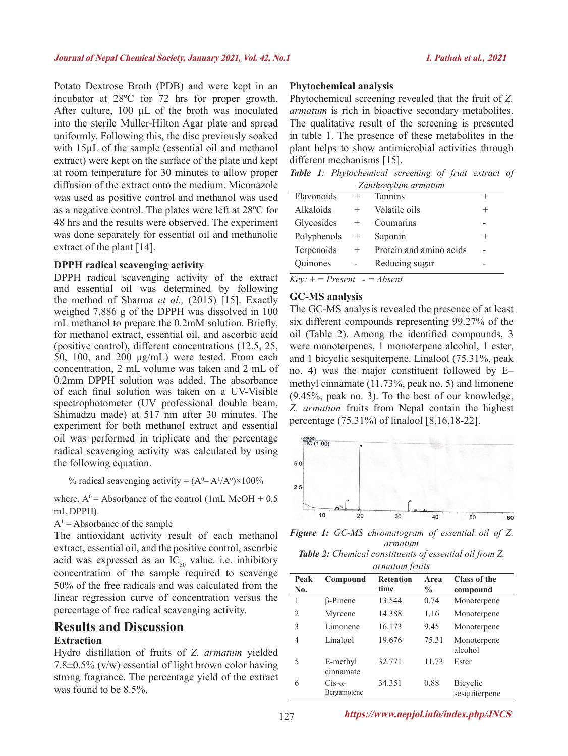Potato Dextrose Broth (PDB) and were kept in an incubator at 28ºC for 72 hrs for proper growth. After culture, 100 µL of the broth was inoculated into the sterile Muller-Hilton Agar plate and spread uniformly. Following this, the disc previously soaked with 15µL of the sample (essential oil and methanol extract) were kept on the surface of the plate and kept at room temperature for 30 minutes to allow proper diffusion of the extract onto the medium. Miconazole was used as positive control and methanol was used as a negative control. The plates were left at 28ºC for 48 hrs and the results were observed. The experiment was done separately for essential oil and methanolic extract of the plant [14].

#### **DPPH radical scavenging activity**

DPPH radical scavenging activity of the extract and essential oil was determined by following the method of Sharma *et al.,* (2015) [15]. Exactly weighed 7.886 g of the DPPH was dissolved in 100 mL methanol to prepare the 0.2mM solution. Briefly, for methanol extract, essential oil, and ascorbic acid (positive control), different concentrations (12.5, 25, 50, 100, and 200 μg/mL) were tested. From each concentration, 2 mL volume was taken and 2 mL of 0.2mm DPPH solution was added. The absorbance of each final solution was taken on a UV-Visible spectrophotometer (UV professional double beam, Shimadzu made) at 517 nm after 30 minutes. The experiment for both methanol extract and essential oil was performed in triplicate and the percentage radical scavenging activity was calculated by using the following equation.

% radical scavenging activity =  $(A^0 - A^1/A^0) \times 100\%$ 

where,  $A^0$  = Absorbance of the control (1mL MeOH + 0.5) mL DPPH).

#### $A<sup>1</sup>$  = Absorbance of the sample

The antioxidant activity result of each methanol extract, essential oil, and the positive control, ascorbic acid was expressed as an  $IC_{50}$  value. i.e. inhibitory concentration of the sample required to scavenge 50% of the free radicals and was calculated from the linear regression curve of concentration versus the percentage of free radical scavenging activity.

#### **Results and Discussion Extraction**

Hydro distillation of fruits of *Z. armatum* yielded  $7.8\pm0.5\%$  (v/w) essential of light brown color having strong fragrance. The percentage yield of the extract was found to be 8.5%.

#### **Phytochemical analysis**

Phytochemical screening revealed that the fruit of *Z. armatum* is rich in bioactive secondary metabolites. The qualitative result of the screening is presented in table 1. The presence of these metabolites in the plant helps to show antimicrobial activities through different mechanisms [15].

*Table 1: Phytochemical screening of fruit extract of Zanthoxylum armatum*

| $\mathcal{L}$ annon piani an matanii |        |                         |        |  |
|--------------------------------------|--------|-------------------------|--------|--|
| Flavonoids                           | $^+$   | Tannins                 |        |  |
| Alkaloids                            | $^{+}$ | Volatile oils           | $^+$   |  |
| Glycosides                           | $\pm$  | Coumarins               |        |  |
| Polyphenols                          | $\pm$  | Saponin                 | $^{+}$ |  |
| Terpenoids                           | $^{+}$ | Protein and amino acids |        |  |
| Quinones                             |        | Reducing sugar          |        |  |

 $Key: + = Present$   $\text{-} = Absent$ 

#### **GC-MS analysis**

The GC-MS analysis revealed the presence of at least six different compounds representing 99.27% of the oil (Table 2). Among the identified compounds, 3 were monoterpenes, 1 monoterpene alcohol, 1 ester, and 1 bicyclic sesquiterpene. Linalool (75.31%, peak no. 4) was the major constituent followed by E– methyl cinnamate (11.73%, peak no. 5) and limonene (9.45%, peak no. 3). To the best of our knowledge, *Z. armatum* fruits from Nepal contain the highest percentage (75.31%) of linalool [8,16,18-22].



*Figure 1: GC-MS chromatogram of essential oil of Z. armatum*

*Table 2: Chemical constituents of essential oil from Z. armatum fruits*

| <i>urmatum frutts</i> |                               |                          |                       |                           |  |
|-----------------------|-------------------------------|--------------------------|-----------------------|---------------------------|--|
| Peak<br>No.           | Compound                      | <b>Retention</b><br>time | Area<br>$\frac{6}{9}$ | Class of the<br>compound  |  |
| 1                     | β-Pinene                      | 13.544                   | 0.74                  | Monoterpene               |  |
| $\overline{2}$        | Myrcene                       | 14.388                   | 1.16                  | Monoterpene               |  |
| 3                     | Limonene                      | 16.173                   | 9.45                  | Monoterpene               |  |
| 4                     | Linalool                      | 19.676                   | 75.31                 | Monoterpene<br>alcohol    |  |
| 5                     | E-methyl<br>cinnamate         | 32.771                   | 11.73                 | Ester                     |  |
| 6                     | $Cis-\alpha$ -<br>Bergamotene | 34.351                   | 0.88                  | Bicyclic<br>sesquiterpene |  |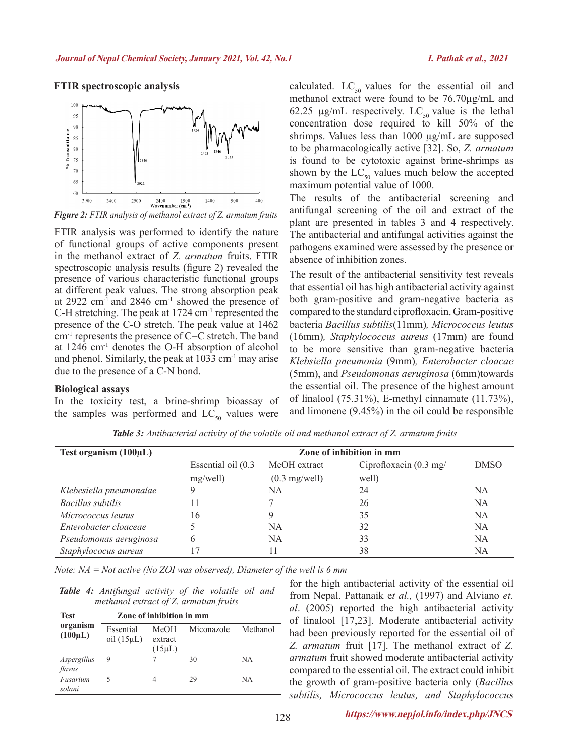#### $100$  $95$  $\overline{90}$ % Transmittance  $85$  $\overline{80}$  $75$  $70$  $65$  $60$  $400$ 3900 3400 2900 1400  $2400$   $2400$  Wavenumber  $(cm^{-1})$ 900

**FTIR spectroscopic analysis**



FTIR analysis was performed to identify the nature of functional groups of active components present in the methanol extract of *Z. armatum* fruits. FTIR spectroscopic analysis results (figure 2) revealed the presence of various characteristic functional groups at different peak values. The strong absorption peak at 2922  $\text{cm}^{-1}$  and 2846  $\text{cm}^{-1}$  showed the presence of C-H stretching. The peak at 1724 cm-1 represented the presence of the C-O stretch. The peak value at 1462 cm-1 represents the presence of C=C stretch. The band at 1246 cm-1 denotes the O-H absorption of alcohol and phenol. Similarly, the peak at 1033 cm-1 may arise due to the presence of a C-N bond.

#### **Biological assays**

In the toxicity test, a brine-shrimp bioassay of the samples was performed and  $LC_{50}$  values were

calculated.  $LC_{50}$  values for the essential oil and methanol extract were found to be 76.70µg/mL and 62.25 µg/mL respectively. LC<sub>50</sub> value is the lethal concentration dose required to kill 50% of the shrimps. Values less than 1000  $\mu$ g/mL are supposed to be pharmacologically active [32]. So, *Z. armatum* is found to be cytotoxic against brine-shrimps as shown by the  $LC_{50}$  values much below the accepted maximum potential value of 1000.

The results of the antibacterial screening and antifungal screening of the oil and extract of the plant are presented in tables 3 and 4 respectively. The antibacterial and antifungal activities against the pathogens examined were assessed by the presence or absence of inhibition zones.

The result of the antibacterial sensitivity test reveals that essential oil has high antibacterial activity against both gram-positive and gram-negative bacteria as compared to the standard ciprofloxacin. Gram-positive bacteria *Bacillus subtilis*(11mm)*, Micrococcus leutus*  (16mm)*, Staphylococcus aureus* (17mm) are found to be more sensitive than gram-negative bacteria *Klebsiella pneumonia* (9mm)*, Enterobacter cloacae*  (5mm), and *Pseudomonas aeruginosa* (6mm)towards the essential oil. The presence of the highest amount of linalool (75.31%), E-methyl cinnamate (11.73%), and limonene (9.45%) in the oil could be responsible

| Test organism $(100\mu L)$ | Zone of inhibition in mm |                         |                                   |             |  |
|----------------------------|--------------------------|-------------------------|-----------------------------------|-------------|--|
|                            | Essential oil (0.3)      | MeOH extract            | Ciprofloxacin $(0.3 \text{ mg}/)$ | <b>DMSO</b> |  |
|                            | mg/well)                 | $(0.3 \text{ mg/well})$ | well)                             |             |  |
| Klebesiella pneumonalae    |                          | NA                      | 24                                | NA          |  |
| <b>Bacillus</b> subtilis   | 11                       |                         | 26                                | NA          |  |
| Micrococcus leutus         | 16                       |                         | 35                                | NA          |  |
| Enterobacter cloaceae      |                          | NA                      | 32                                | NA          |  |
| Pseudomonas aeruginosa     | 6                        | NA                      | 33                                | NA          |  |
| Staphylococus aureus       |                          |                         | 38                                | NA          |  |

*Table 3: Antibacterial activity of the volatile oil and methanol extract of Z. armatum fruits*

*Note: NA = Not active (No ZOI was observed), Diameter of the well is 6 mm*

|  | Table 4: Antifungal activity of the volatile oil and |  |  |  |
|--|------------------------------------------------------|--|--|--|
|  | methanol extract of $Z$ , armatum fruits             |  |  |  |

| <b>Test</b>              | Zone of inhibition in mm     |                 |            |          |  |
|--------------------------|------------------------------|-----------------|------------|----------|--|
| organism<br>$(100\mu L)$ | Essential<br>oil $(15\mu L)$ | MeOH<br>extract | Miconazole | Methanol |  |
|                          |                              | $(15 \mu L)$    |            |          |  |
| Aspergillus<br>flavus    | 9                            |                 | 30         | NA       |  |
| Fusarium<br>solani       |                              |                 | 29         | NA       |  |

for the high antibacterial activity of the essential oil from Nepal. Pattanaik e*t al.,* (1997) and Alviano *et. al*. (2005) reported the high antibacterial activity of linalool [17,23]. Moderate antibacterial activity had been previously reported for the essential oil of *Z. armatum* fruit [17]. The methanol extract of *Z. armatum* fruit showed moderate antibacterial activity compared to the essential oil. The extract could inhibit the growth of gram-positive bacteria only (*Bacillus subtilis, Micrococcus leutus, and Staphylococcus*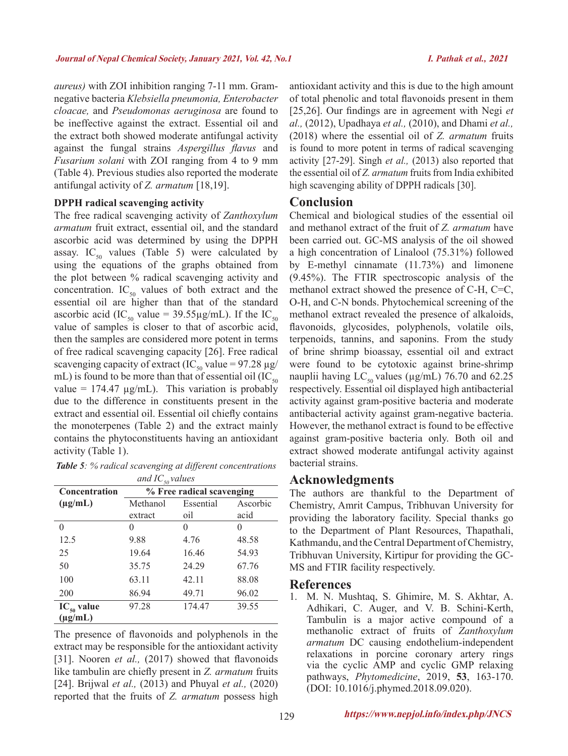*aureus)* with ZOI inhibition ranging 7-11 mm. Gramnegative bacteria *Klebsiella pneumonia, Enterobacter cloacae,* and *Pseudomonas aeruginosa* are found to be ineffective against the extract. Essential oil and the extract both showed moderate antifungal activity against the fungal strains *Aspergillus flavus* and *Fusarium solani* with ZOI ranging from 4 to 9 mm (Table 4). Previous studies also reported the moderate antifungal activity of *Z. armatum* [18,19].

#### **DPPH radical scavenging activity**

The free radical scavenging activity of *Zanthoxylum armatum* fruit extract, essential oil, and the standard ascorbic acid was determined by using the DPPH assay. IC<sub>50</sub> values (Table 5) were calculated by using the equations of the graphs obtained from the plot between % radical scavenging activity and concentration.  $IC_{50}$  values of both extract and the essential oil are higher than that of the standard ascorbic acid (IC<sub>50</sub> value = 39.55µg/mL). If the IC<sub>50</sub> value of samples is closer to that of ascorbic acid, then the samples are considered more potent in terms of free radical scavenging capacity [26]. Free radical scavenging capacity of extract (IC<sub>50</sub> value = 97.28  $\mu$ g/ mL) is found to be more than that of essential oil  $(IC_{50})$ value =  $174.47 \mu g/mL$ ). This variation is probably due to the difference in constituents present in the extract and essential oil. Essential oil chiefly contains the monoterpenes (Table 2) and the extract mainly contains the phytoconstituents having an antioxidant activity (Table 1).

| <b>Table 5:</b> % radical scavenging at different concentrations |  |
|------------------------------------------------------------------|--|
| and $IC$ values                                                  |  |

| and $IC_{50}$ values |                                   |        |       |  |  |
|----------------------|-----------------------------------|--------|-------|--|--|
| <b>Concentration</b> | % Free radical scavenging         |        |       |  |  |
| $(\mu g/mL)$         | Ascorbic<br>Methanol<br>Essential |        |       |  |  |
|                      | extract                           | oil    | acid  |  |  |
| 0                    |                                   |        |       |  |  |
| 12.5                 | 9.88                              | 4.76   | 48.58 |  |  |
| 25                   | 19.64                             | 16.46  | 54.93 |  |  |
| 50                   | 35.75                             | 24.29  | 67.76 |  |  |
| 100                  | 63.11                             | 42.11  | 88.08 |  |  |
| 200                  | 86.94                             | 49.71  | 96.02 |  |  |
| $IC_{50}$ value      | 97.28                             | 174.47 | 39.55 |  |  |
| $(\mu g/mL)$         |                                   |        |       |  |  |

The presence of flavonoids and polyphenols in the extract may be responsible for the antioxidant activity [31]. Nooren *et al.*, (2017) showed that flavonoids like tambulin are chiefly present in *Z. armatum* fruits [24]. Brijwal *et al.,* (2013) and Phuyal *et al.,* (2020) reported that the fruits of *Z. armatum* possess high

antioxidant activity and this is due to the high amount of total phenolic and total flavonoids present in them [25,26]. Our findings are in agreement with Negi *et al.,* (2012), Upadhaya *et al.,* (2010), and Dhami *et al.,*  (2018) where the essential oil of *Z. armatum* fruits is found to more potent in terms of radical scavenging activity [27-29]. Singh *et al.,* (2013) also reported that the essential oil of *Z. armatum* fruits from India exhibited high scavenging ability of DPPH radicals [30].

#### **Conclusion**

Chemical and biological studies of the essential oil and methanol extract of the fruit of *Z. armatum* have been carried out. GC-MS analysis of the oil showed a high concentration of Linalool (75.31%) followed by E-methyl cinnamate (11.73%) and limonene (9.45%). The FTIR spectroscopic analysis of the methanol extract showed the presence of C-H, C=C, O-H, and C-N bonds. Phytochemical screening of the methanol extract revealed the presence of alkaloids, flavonoids, glycosides, polyphenols, volatile oils, terpenoids, tannins, and saponins. From the study of brine shrimp bioassay, essential oil and extract were found to be cytotoxic against brine-shrimp nauplii having  $LC_{50}$  values ( $\mu$ g/mL) 76.70 and 62.25 respectively. Essential oil displayed high antibacterial activity against gram-positive bacteria and moderate antibacterial activity against gram-negative bacteria. However, the methanol extract is found to be effective against gram-positive bacteria only. Both oil and extract showed moderate antifungal activity against bacterial strains.

#### **Acknowledgments**

The authors are thankful to the Department of Chemistry, Amrit Campus, Tribhuvan University for providing the laboratory facility. Special thanks go to the Department of Plant Resources, Thapathali, Kathmandu, and the Central Department of Chemistry, Tribhuvan University, Kirtipur for providing the GC-MS and FTIR facility respectively.

#### **References**

1. M. N. Mushtaq, S. Ghimire, M. S. Akhtar, A. Adhikari, C. Auger, and V. B. Schini-Kerth, Tambulin is a major active compound of a methanolic extract of fruits of *Zanthoxylum armatum* DC causing endothelium-independent relaxations in porcine coronary artery rings via the cyclic AMP and cyclic GMP relaxing pathways, *Phytomedicine*, 2019, **53**, 163-170. (DOI: 10.1016/j.phymed.2018.09.020).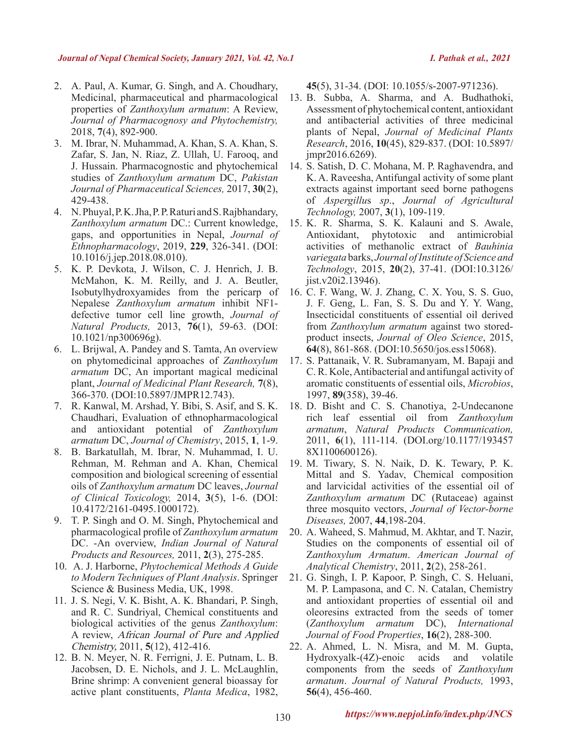- 2. A. Paul, A. Kumar, G. Singh, and A. Choudhary, Medicinal, pharmaceutical and pharmacological properties of *Zanthoxylum armatum*: A Review, *Journal of Pharmacognosy and Phytochemistry,*  2018, **7**(4), 892-900.
- 3. M. Ibrar, N. Muhammad, A. Khan, S. A. Khan, S. Zafar, S. Jan, N. Riaz, Z. Ullah, U. Farooq, and J. Hussain. Pharmacognostic and phytochemical studies of *Zanthoxylum armatum* DC, *Pakistan Journal of Pharmaceutical Sciences,* 2017, **30**(2), 429-438.
- 4. N. Phuyal, P. K. Jha, P. P. Raturi and S. Rajbhandary, *Zanthoxylum armatum* DC.: Current knowledge, gaps, and opportunities in Nepal, *Journal of Ethnopharmacology*, 2019, **229**, 326-341. (DOI: 10.1016/j.jep.2018.08.010).
- 5. K. P. Devkota, J. Wilson, C. J. Henrich, J. B. McMahon, K. M. Reilly, and J. A. Beutler, Isobutylhydroxyamides from the pericarp of Nepalese *Zanthoxylum armatum* inhibit NF1 defective tumor cell line growth, *Journal of Natural Products,* 2013, **76**(1), 59-63. (DOI: 10.1021/np300696g).
- 6. L. Brijwal, A. Pandey and S. Tamta, An overview on phytomedicinal approaches of *Zanthoxylum armatum* DC, An important magical medicinal plant, *Journal of Medicinal Plant Research,* **7**(8), 366-370. (DOI:10.5897/JMPR12.743).
- 7. R. Kanwal, M. Arshad, Y. Bibi, S. Asif, and S. K. Chaudhari, Evaluation of ethnopharmacological and antioxidant potential of *Zanthoxylum armatum* DC, *Journal of Chemistry*, 2015, **1**, 1-9.
- 8. B. Barkatullah, M. Ibrar, N. Muhammad, I. U. Rehman, M. Rehman and A. Khan, Chemical composition and biological screening of essential oils of *Zanthoxylum armatum* DC leaves, *Journal of Clinical Toxicology,* 2014, **3**(5), 1-6. (DOI: 10.4172/2161-0495.1000172).
- 9. T. P. Singh and O. M. Singh, Phytochemical and pharmacological profile of *Zanthoxylum armatum* DC. -An overview, *Indian Journal of Natural Products and Resources,* 2011, **2**(3), 275-285.
- 10. A. J. Harborne, *Phytochemical Methods A Guide to Modern Techniques of Plant Analysis*. Springer Science & Business Media, UK, 1998.
- 11. J. S. Negi, V. K. Bisht, A. K. Bhandari, P. Singh, and R. C. Sundriyal, Chemical constituents and biological activities of the genus *Zanthoxylum*: A review, African Journal of Pure and Applied Chemistry, 2011, **5**(12), 412-416.
- 12. B. N. Meyer, N. R. Ferrigni, J. E. Putnam, L. B. Jacobsen, D. E. Nichols, and J. L. McLaughlin, Brine shrimp: A convenient general bioassay for active plant constituents, *Planta Medica*, 1982,

**45**(5), 31-34. (DOI: 10.1055/s-2007-971236).

- 13. B. Subba, A. Sharma, and A. Budhathoki, Assessment of phytochemical content, antioxidant and antibacterial activities of three medicinal plants of Nepal, *Journal of Medicinal Plants Research*, 2016, **10**(45), 829-837. (DOI: 10.5897/ jmpr2016.6269).
- 14. S. Satish, D. C. Mohana, M. P. Raghavendra, and K. A. Raveesha, Antifungal activity of some plant extracts against important seed borne pathogens of *Aspergillu*s *sp*., *Journal of Agricultural Technology,* 2007, **3**(1), 109-119.
- 15. K. R. Sharma, S. K. Kalauni and S. Awale, Antioxidant, phytotoxic and antimicrobial activities of methanolic extract of *Bauhinia variegata* barks, *Journal of Institute of Science and Technology*, 2015, **20**(2), 37-41. (DOI:10.3126/ jist.v20i2.13946).
- 16. C. F. Wang, W. J. Zhang, C. X. You, S. S. Guo, J. F. Geng, L. Fan, S. S. Du and Y. Y. Wang, Insecticidal constituents of essential oil derived from *Zanthoxylum armatum* against two storedproduct insects, *Journal of Oleo Science*, 2015, **64**(8), 861-868. (DOI:10.5650/jos.ess15068).
- 17. S. Pattanaik, V. R. Subramanyam, M. Bapaji and C. R. Kole, Antibacterial and antifungal activity of aromatic constituents of essential oils, *Microbios*, 1997, **89**(358), 39-46.
- 18. D. Bisht and C. S. Chanotiya, 2-Undecanone rich leaf essential oil from *Zanthoxylum armatum*, *Natural Products Communication,*  2011, **6**(1), 111-114. (DOI.org/10.1177/193457 8X1100600126).
- 19. M. Tiwary, S. N. Naik, D. K. Tewary, P. K. Mittal and S. Yadav, Chemical composition and larvicidal activities of the essential oil of *Zanthoxylum armatum* DC (Rutaceae) against three mosquito vectors, *Journal of Vector-borne Diseases,* 2007, **44**,198-204.
- 20. A. Waheed, S. Mahmud, M. Akhtar, and T. Nazir, Studies on the components of essential oil of Z*anthoxylum Armatum*. *American Journal of Analytical Chemistry*, 2011, **2**(2), 258-261.
- 21. G. Singh, I. P. Kapoor, P. Singh, C. S. Heluani, M. P. Lampasona, and C. N. Catalan, Chemistry and antioxidant properties of essential oil and oleoresins extracted from the seeds of tomer (*Zanthoxylum armatum* DC), *International Journal of Food Properties*, **16**(2), 288-300.
- 22. A. Ahmed, L. N. Misra, and M. M. Gupta, Hydroxyalk-(4Z)-enoic acids and volatile components from the seeds of *Zanthoxylum armatum*. *Journal of Natural Products,* 1993, **56**(4), 456-460.